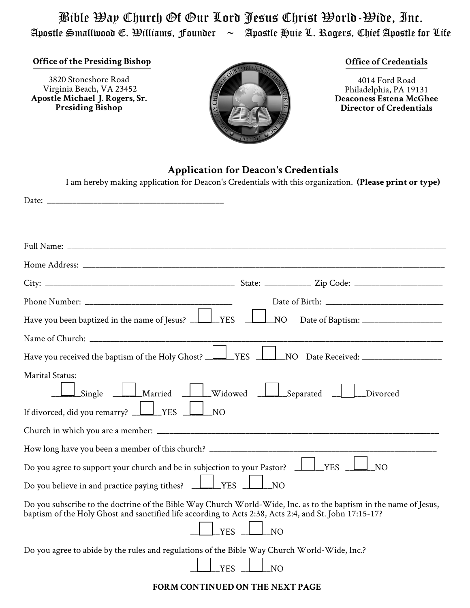Bible Way Church Of Our Lord Jesus Christ World-Wide, Inc. Apostle Smallwood E. Williams, Founder  $\sim$  Apostle Huie L. Rogers, Chief Apostle for Life

**Office of the Presiding Bishop**

3820 Stoneshore Road Virginia Beach, VA 23452 **Apostle Michael J. Rogers, Sr. Presiding Bishop**



#### **Office of Credentials**

4014 Ford Road Philadelphia, PA 19131 **Deaconess Estena McGhee Director of Credentials**

# **Application for Deacon's Credentials**

| I am hereby making application for Deacon's Credentials with this organization. (Please print or type)                                                                                                                                           |
|--------------------------------------------------------------------------------------------------------------------------------------------------------------------------------------------------------------------------------------------------|
|                                                                                                                                                                                                                                                  |
|                                                                                                                                                                                                                                                  |
|                                                                                                                                                                                                                                                  |
|                                                                                                                                                                                                                                                  |
|                                                                                                                                                                                                                                                  |
|                                                                                                                                                                                                                                                  |
|                                                                                                                                                                                                                                                  |
| Have you been baptized in the name of Jesus?<br>$\angle$ YES<br>NO.                                                                                                                                                                              |
|                                                                                                                                                                                                                                                  |
| YES<br>Have you received the baptism of the Holy Ghost? _<br>NO Date Received: ____________________                                                                                                                                              |
| <b>Marital Status:</b><br>$\_$ Married $\_$<br>_Widowed<br>Separated<br>Single<br>Divorced<br>If divorced, did you remarry? $\Box$<br>YES<br>N <sub>O</sub>                                                                                      |
|                                                                                                                                                                                                                                                  |
| How long have you been a member of this church? ________________________________                                                                                                                                                                 |
| Do you agree to support your church and be in subjection to your Pastor?<br><b>YES</b><br>N <sub>O</sub>                                                                                                                                         |
| Do you believe in and practice paying tithes? _<br><b>YES</b><br>N <sub>O</sub>                                                                                                                                                                  |
| Do you subscribe to the doctrine of the Bible Way Church World-Wide, Inc. as to the baptism in the name of Jesus,<br>baptism of the Holy Ghost and sanctified life according to Acts 2:38, Acts 2:4, and St. John 17:15-17?<br><b>YES</b><br>NO. |
| Do you agree to abide by the rules and regulations of the Bible Way Church World-Wide, Inc.?<br><b>YES</b><br>N <sub>O</sub>                                                                                                                     |

#### **FORM CONTINUED ON THE NEXT PAGE**